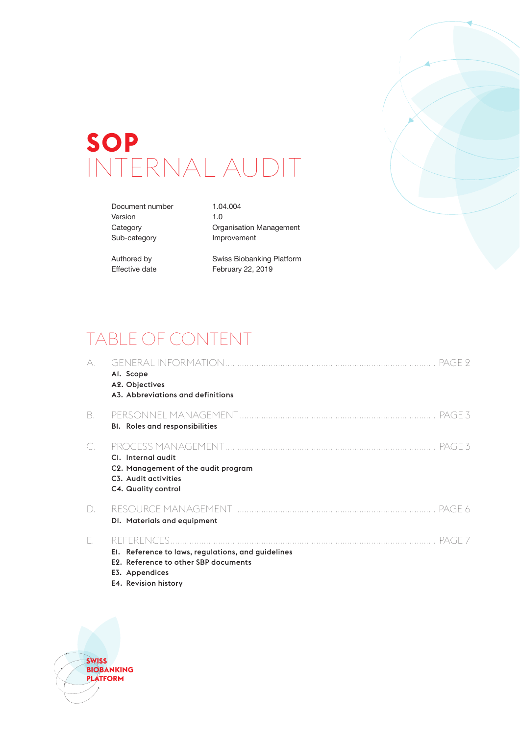# **SOP** INTERNAL AUDIT

Document number 1.04.004 Version 1.0

Category **Category** Organisation Management Sub-category **Improvement** 

Authored by Swiss Biobanking Platform Effective date February 22, 2019

## TABLE OF CONTENT

| A. | PAGE 9<br>Al. Scope<br>A2. Objectives<br>A3. Abbreviations and definitions                                                                     |
|----|------------------------------------------------------------------------------------------------------------------------------------------------|
| В. | PAGE 3<br>BI. Roles and responsibilities                                                                                                       |
| C. | PAGE 3<br>CI. Internal audit<br>C2. Management of the audit program<br>C3. Audit activities<br>C4. Quality control                             |
| D. | PAGE 6<br>DI. Materials and equipment                                                                                                          |
| F. | PAGE 7<br>El. Reference to laws, regulations, and guidelines<br>E2. Reference to other SBP documents<br>E3. Appendices<br>E4. Revision history |

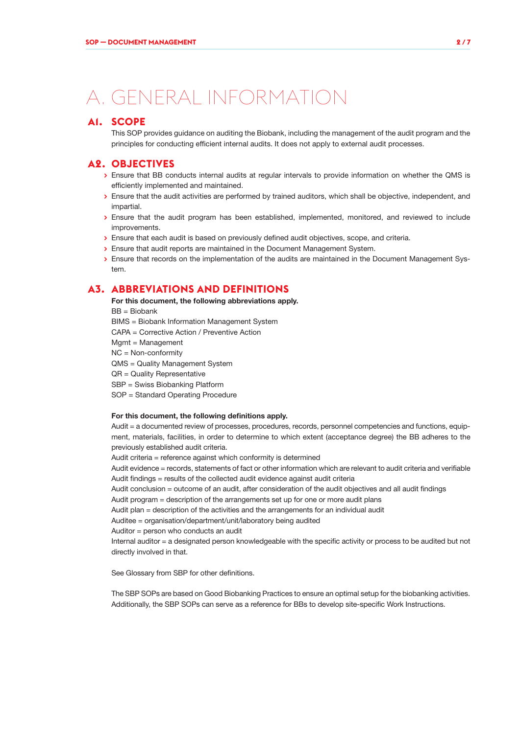## A. GENERAL INFORMATION

## **A1. SCOPE**

This SOP provides guidance on auditing the Biobank, including the management of the audit program and the principles for conducting efficient internal audits. It does not apply to external audit processes.

### **A2. OBJECTIVES**

- **>** Ensure that BB conducts internal audits at regular intervals to provide information on whether the QMS is efficiently implemented and maintained.
- **>** Ensure that the audit activities are performed by trained auditors, which shall be objective, independent, and impartial.
- **>** Ensure that the audit program has been established, implemented, monitored, and reviewed to include improvements.
- **>** Ensure that each audit is based on previously defined audit objectives, scope, and criteria.
- **>** Ensure that audit reports are maintained in the Document Management System.
- **>** Ensure that records on the implementation of the audits are maintained in the Document Management System.

## **A3. ABBREVIATIONS AND DEFINITIONS**

For this document, the following abbreviations apply. BB = Biobank BIMS = Biobank Information Management System

- CAPA = Corrective Action / Preventive Action
- Mgmt = Management NC = Non-conformity
- QMS = Quality Management System
- QR = Quality Representative
- SBP = Swiss Biobanking Platform
- SOP = Standard Operating Procedure

#### For this document, the following definitions apply.

Audit = a documented review of processes, procedures, records, personnel competencies and functions, equipment, materials, facilities, in order to determine to which extent (acceptance degree) the BB adheres to the previously established audit criteria.

Audit criteria = reference against which conformity is determined

Audit evidence = records, statements of fact or other information which are relevant to audit criteria and verifiable Audit findings = results of the collected audit evidence against audit criteria

- Audit conclusion = outcome of an audit, after consideration of the audit objectives and all audit findings
- Audit program = description of the arrangements set up for one or more audit plans
- Audit plan = description of the activities and the arrangements for an individual audit

Auditee = organisation/department/unit/laboratory being audited

Auditor = person who conducts an audit

Internal auditor = a designated person knowledgeable with the specific activity or process to be audited but not directly involved in that.

See Glossary from SBP for other definitions.

The SBP SOPs are based on Good Biobanking Practices to ensure an optimal setup for the biobanking activities. Additionally, the SBP SOPs can serve as a reference for BBs to develop site-specific Work Instructions.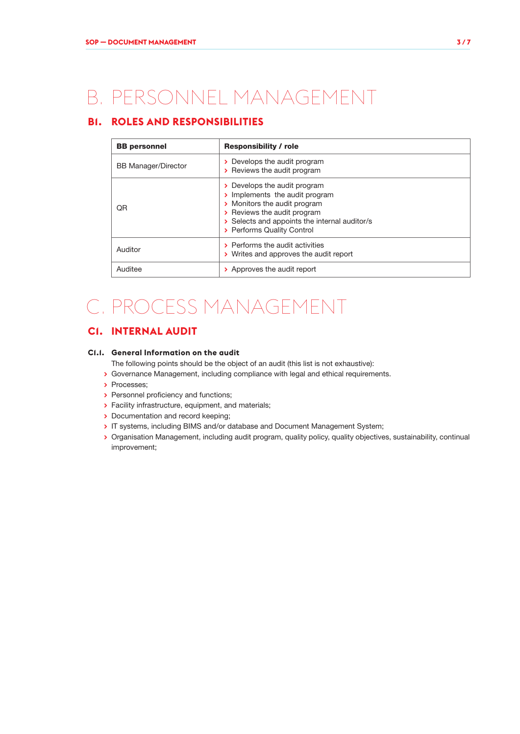## B. PERSONNEL MANAGEMENT

## **B1. ROLES AND RESPONSIBILITIES**

| <b>BB</b> personnel        | <b>Responsibility / role</b>                                                                                                                                                                                             |  |  |
|----------------------------|--------------------------------------------------------------------------------------------------------------------------------------------------------------------------------------------------------------------------|--|--|
| <b>BB Manager/Director</b> | $\rightarrow$ Develops the audit program<br>> Reviews the audit program                                                                                                                                                  |  |  |
| ΟR                         | $\rightarrow$ Develops the audit program<br>> Implements the audit program<br>> Monitors the audit program<br>> Reviews the audit program<br>> Selects and appoints the internal auditor/s<br>> Performs Quality Control |  |  |
| Auditor                    | > Performs the audit activities<br>> Writes and approves the audit report                                                                                                                                                |  |  |
| Auditee                    | > Approves the audit report                                                                                                                                                                                              |  |  |

## C. PROCESS MANAGEMENT

## **C1. INTERNAL AUDIT**

### **C1.1. General Information on the audit**

The following points should be the object of an audit (this list is not exhaustive):

- **>** Governance Management, including compliance with legal and ethical requirements.
- **>** Processes;
- **>** Personnel proficiency and functions;
- **>** Facility infrastructure, equipment, and materials;
- **>** Documentation and record keeping;
- **>** IT systems, including BIMS and/or database and Document Management System;
- **>** Organisation Management, including audit program, quality policy, quality objectives, sustainability, continual improvement;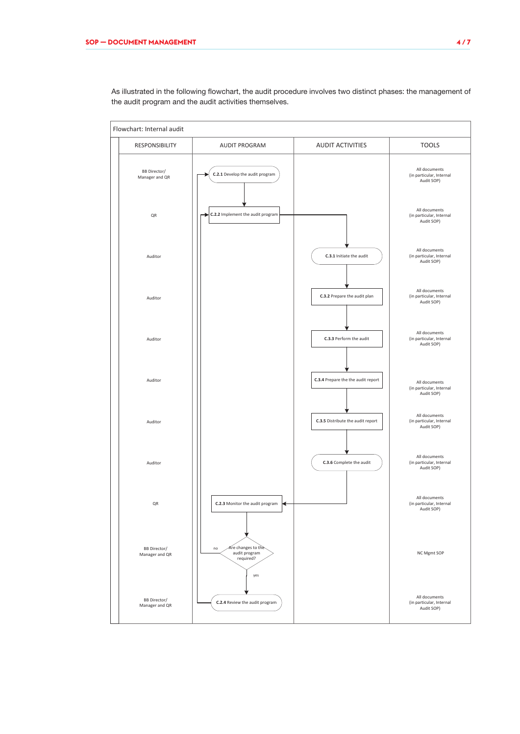

As illustrated in the following flowchart, the audit procedure involves two distinct phases: the management of the audit program and the audit activities themselves.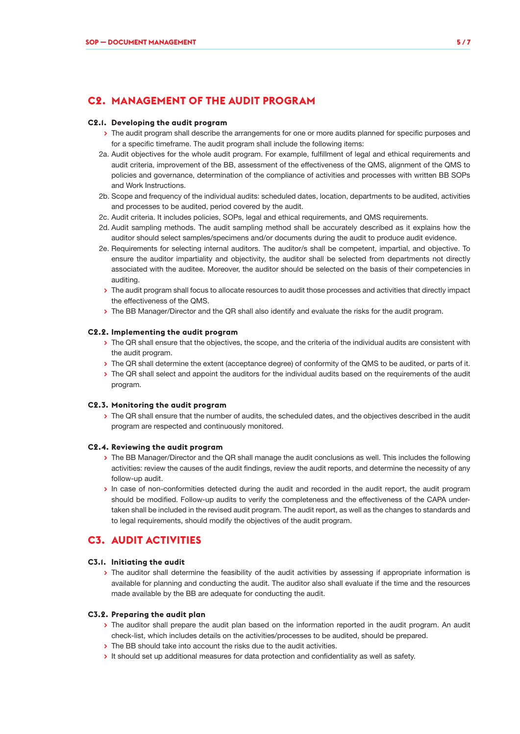## **C2. MANAGEMENT OF THE AUDIT PROGRAM**

#### **C2.1. Developing the audit program**

- **>** The audit program shall describe the arrangements for one or more audits planned for specific purposes and for a specific timeframe. The audit program shall include the following items:
- 2a. Audit objectives for the whole audit program. For example, fulfillment of legal and ethical requirements and audit criteria, improvement of the BB, assessment of the effectiveness of the QMS, alignment of the QMS to policies and governance, determination of the compliance of activities and processes with written BB SOPs and Work Instructions.
- 2b. Scope and frequency of the individual audits: scheduled dates, location, departments to be audited, activities and processes to be audited, period covered by the audit.
- 2c. Audit criteria. It includes policies, SOPs, legal and ethical requirements, and QMS requirements.
- 2d. Audit sampling methods. The audit sampling method shall be accurately described as it explains how the auditor should select samples/specimens and/or documents during the audit to produce audit evidence.
- 2e. Requirements for selecting internal auditors. The auditor/s shall be competent, impartial, and objective. To ensure the auditor impartiality and objectivity, the auditor shall be selected from departments not directly associated with the auditee. Moreover, the auditor should be selected on the basis of their competencies in auditing.
- **>** The audit program shall focus to allocate resources to audit those processes and activities that directly impact the effectiveness of the QMS.
- **>** The BB Manager/Director and the QR shall also identify and evaluate the risks for the audit program.

#### **C2.2. Implementing the audit program**

- **>** The QR shall ensure that the objectives, the scope, and the criteria of the individual audits are consistent with the audit program.
- **>** The QR shall determine the extent (acceptance degree) of conformity of the QMS to be audited, or parts of it.
- **>** The QR shall select and appoint the auditors for the individual audits based on the requirements of the audit program.

#### **C2.3. Monitoring the audit program**

**>** The QR shall ensure that the number of audits, the scheduled dates, and the objectives described in the audit program are respected and continuously monitored.

#### **C2.4. Reviewing the audit program**

- **>** The BB Manager/Director and the QR shall manage the audit conclusions as well. This includes the following activities: review the causes of the audit findings, review the audit reports, and determine the necessity of any follow-up audit.
- **>** In case of non-conformities detected during the audit and recorded in the audit report, the audit program should be modified. Follow-up audits to verify the completeness and the effectiveness of the CAPA undertaken shall be included in the revised audit program. The audit report, as well as the changes to standards and to legal requirements, should modify the objectives of the audit program.

### **C3. AUDIT ACTIVITIES**

#### **C3.1. Initiating the audit**

**>** The auditor shall determine the feasibility of the audit activities by assessing if appropriate information is available for planning and conducting the audit. The auditor also shall evaluate if the time and the resources made available by the BB are adequate for conducting the audit.

#### **C3.2. Preparing the audit plan**

- **>** The auditor shall prepare the audit plan based on the information reported in the audit program. An audit check-list, which includes details on the activities/processes to be audited, should be prepared.
- **>** The BB should take into account the risks due to the audit activities.
- **>** It should set up additional measures for data protection and confidentiality as well as safety.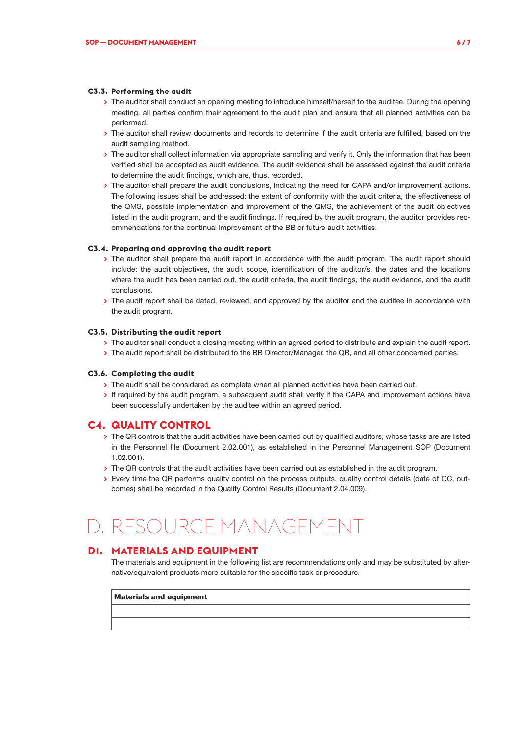#### **C3.3. Performing the audit**

- **>** The auditor shall conduct an opening meeting to introduce himself/herself to the auditee. During the opening meeting, all parties confirm their agreement to the audit plan and ensure that all planned activities can be performed.
- **>** The auditor shall review documents and records to determine if the audit criteria are fulfilled, based on the audit sampling method.
- **>** The auditor shall collect information via appropriate sampling and verify it. Only the information that has been verified shall be accepted as audit evidence. The audit evidence shall be assessed against the audit criteria to determine the audit findings, which are, thus, recorded.
- **>** The auditor shall prepare the audit conclusions, indicating the need for CAPA and/or improvement actions. The following issues shall be addressed: the extent of conformity with the audit criteria, the effectiveness of the QMS, possible implementation and improvement of the QMS, the achievement of the audit objectives listed in the audit program, and the audit findings. If required by the audit program, the auditor provides recommendations for the continual improvement of the BB or future audit activities.

#### **C3.4. Preparing and approving the audit report**

- **>** The auditor shall prepare the audit report in accordance with the audit program. The audit report should include: the audit objectives, the audit scope, identification of the auditor/s, the dates and the locations where the audit has been carried out, the audit criteria, the audit findings, the audit evidence, and the audit conclusions.
- **>** The audit report shall be dated, reviewed, and approved by the auditor and the auditee in accordance with the audit program.

#### **C3.5. Distributing the audit report**

- **>** The auditor shall conduct a closing meeting within an agreed period to distribute and explain the audit report.
- **>** The audit report shall be distributed to the BB Director/Manager, the QR, and all other concerned parties.

#### **C3.6. Completing the audit**

- **>** The audit shall be considered as complete when all planned activities have been carried out.
- **>** If required by the audit program, a subsequent audit shall verify if the CAPA and improvement actions have been successfully undertaken by the auditee within an agreed period.

### **C4. QUALITY CONTROL**

- **>** The QR controls that the audit activities have been carried out by qualified auditors, whose tasks are are listed in the Personnel file (Document 2.02.001), as established in the Personnel Management SOP (Document 1.02.001).
- **>** The QR controls that the audit activities have been carried out as established in the audit program.
- **>** Every time the QR performs quality control on the process outputs, quality control details (date of QC, outcomes) shall be recorded in the Quality Control Results (Document 2.04.009).

## D. RESOURCE MANAGEMENT

## **D1. MATERIALS AND EQUIPMENT**

The materials and equipment in the following list are recommendations only and may be substituted by alternative/equivalent products more suitable for the specific task or procedure.

#### Materials and equipment